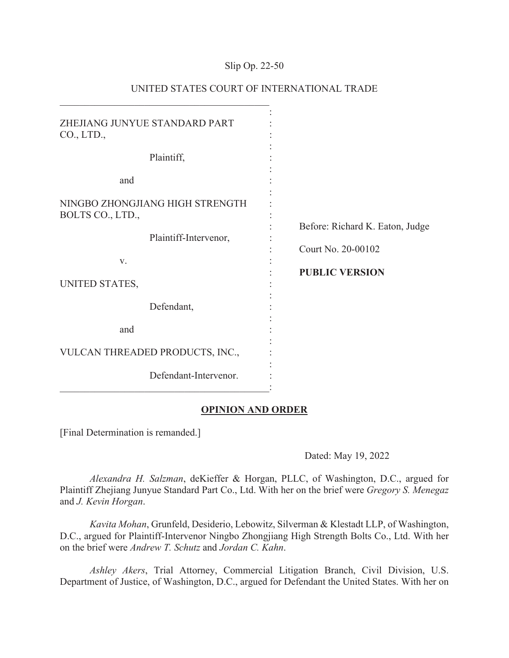## Slip Op. 22-50

| ZHEJIANG JUNYUE STANDARD PART<br>CO., LTD.,         |                                                       |
|-----------------------------------------------------|-------------------------------------------------------|
| Plaintiff,                                          |                                                       |
| and                                                 |                                                       |
| NINGBO ZHONGJIANG HIGH STRENGTH<br>BOLTS CO., LTD., |                                                       |
| Plaintiff-Intervenor,                               | Before: Richard K. Eaton, Judge<br>Court No. 20-00102 |
| V.                                                  |                                                       |
| UNITED STATES,                                      | <b>PUBLIC VERSION</b>                                 |
| Defendant,                                          |                                                       |
| and                                                 |                                                       |
| VULCAN THREADED PRODUCTS, INC.,                     |                                                       |
| Defendant-Intervenor.                               |                                                       |

# UNITED STATES COURT OF INTERNATIONAL TRADE

## **OPINION AND ORDER**

[Final Determination is remanded.]

Dated: May 19, 2022

*Alexandra H. Salzman*, deKieffer & Horgan, PLLC, of Washington, D.C., argued for Plaintiff Zhejiang Junyue Standard Part Co., Ltd. With her on the brief were *Gregory S. Menegaz*  and *J. Kevin Horgan*.

*Kavita Mohan*, Grunfeld, Desiderio, Lebowitz, Silverman & Klestadt LLP, of Washington, D.C., argued for Plaintiff-Intervenor Ningbo Zhongjiang High Strength Bolts Co., Ltd. With her on the brief were *Andrew T. Schutz* and *Jordan C. Kahn*.

*Ashley Akers*, Trial Attorney, Commercial Litigation Branch, Civil Division, U.S. Department of Justice, of Washington, D.C., argued for Defendant the United States. With her on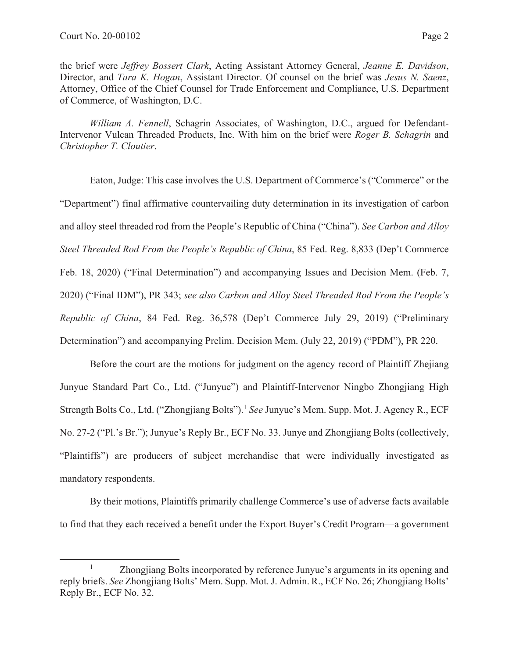the brief were *Jeffrey Bossert Clark*, Acting Assistant Attorney General, *Jeanne E. Davidson*, Director, and *Tara K. Hogan*, Assistant Director. Of counsel on the brief was *Jesus N. Saenz*, Attorney, Office of the Chief Counsel for Trade Enforcement and Compliance, U.S. Department of Commerce, of Washington, D.C.

*William A. Fennell*, Schagrin Associates, of Washington, D.C., argued for Defendant-Intervenor Vulcan Threaded Products, Inc. With him on the brief were *Roger B. Schagrin* and *Christopher T. Cloutier*.

 Eaton, Judge: This case involves the U.S. Department of Commerce's ("Commerce" or the "Department") final affirmative countervailing duty determination in its investigation of carbon and alloy steel threaded rod from the People's Republic of China ("China"). *See Carbon and Alloy Steel Threaded Rod From the People's Republic of China*, 85 Fed. Reg. 8,833 (Dep't Commerce Feb. 18, 2020) ("Final Determination") and accompanying Issues and Decision Mem. (Feb. 7, 2020) ("Final IDM"), PR 343; *see also Carbon and Alloy Steel Threaded Rod From the People's Republic of China*, 84 Fed. Reg. 36,578 (Dep't Commerce July 29, 2019) ("Preliminary Determination") and accompanying Prelim. Decision Mem. (July 22, 2019) ("PDM"), PR 220.

Before the court are the motions for judgment on the agency record of Plaintiff Zhejiang Junyue Standard Part Co., Ltd. ("Junyue") and Plaintiff-Intervenor Ningbo Zhongjiang High Strength Bolts Co., Ltd. ("Zhongjiang Bolts").1 *See* Junyue's Mem. Supp. Mot. J. Agency R., ECF No. 27-2 ("Pl.'s Br."); Junyue's Reply Br., ECF No. 33. Junye and Zhongjiang Bolts (collectively, "Plaintiffs") are producers of subject merchandise that were individually investigated as mandatory respondents.

By their motions, Plaintiffs primarily challenge Commerce's use of adverse facts available to find that they each received a benefit under the Export Buyer's Credit Program—a government

<sup>1</sup> Zhongjiang Bolts incorporated by reference Junyue's arguments in its opening and reply briefs. *See* Zhongjiang Bolts' Mem. Supp. Mot. J. Admin. R., ECF No. 26; Zhongjiang Bolts' Reply Br., ECF No. 32.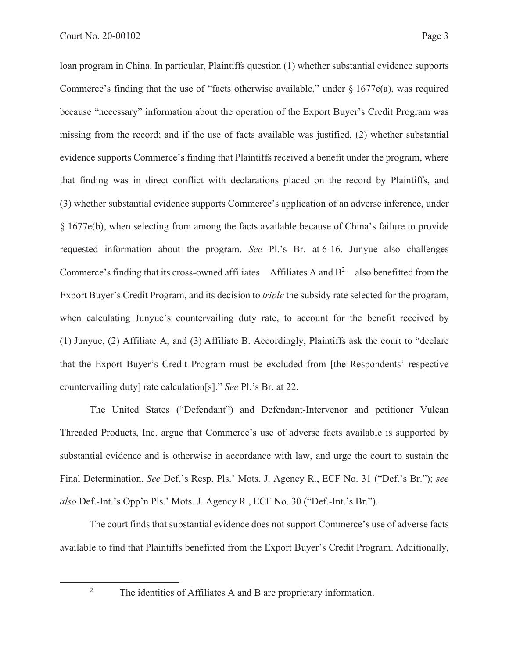loan program in China. In particular, Plaintiffs question (1) whether substantial evidence supports Commerce's finding that the use of "facts otherwise available," under  $\S 1677e(a)$ , was required because "necessary" information about the operation of the Export Buyer's Credit Program was missing from the record; and if the use of facts available was justified, (2) whether substantial evidence supports Commerce's finding that Plaintiffs received a benefit under the program, where that finding was in direct conflict with declarations placed on the record by Plaintiffs, and (3) whether substantial evidence supports Commerce's application of an adverse inference, under § 1677e(b), when selecting from among the facts available because of China's failure to provide requested information about the program. *See* Pl.'s Br. at 6-16. Junyue also challenges Commerce's finding that its cross-owned affiliates—Affiliates A and  $B^2$ —also benefitted from the Export Buyer's Credit Program, and its decision to *triple* the subsidy rate selected for the program, when calculating Junyue's countervailing duty rate, to account for the benefit received by (1) Junyue, (2) Affiliate A, and (3) Affiliate B. Accordingly, Plaintiffs ask the court to "declare that the Export Buyer's Credit Program must be excluded from [the Respondents' respective countervailing duty] rate calculation[s]." *See* Pl.'s Br. at 22.

The United States ("Defendant") and Defendant-Intervenor and petitioner Vulcan Threaded Products, Inc. argue that Commerce's use of adverse facts available is supported by substantial evidence and is otherwise in accordance with law, and urge the court to sustain the Final Determination. *See* Def.'s Resp. Pls.' Mots. J. Agency R., ECF No. 31 ("Def.'s Br."); *see also* Def.-Int.'s Opp'n Pls.' Mots. J. Agency R., ECF No. 30 ("Def.-Int.'s Br.").

The court finds that substantial evidence does not support Commerce's use of adverse facts available to find that Plaintiffs benefitted from the Export Buyer's Credit Program. Additionally,

2

The identities of Affiliates A and B are proprietary information.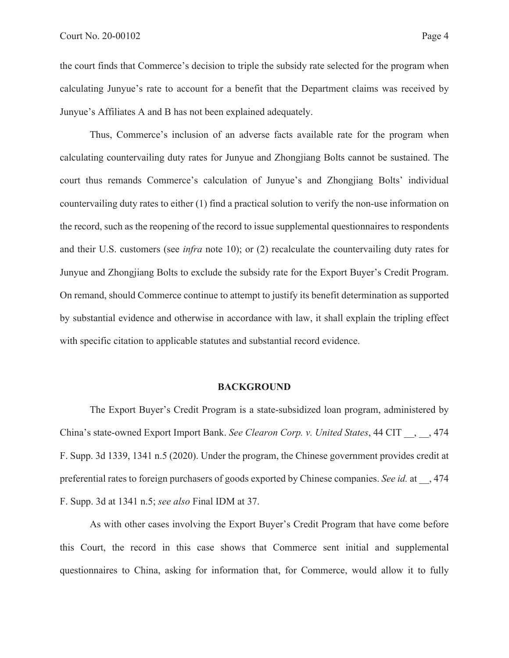the court finds that Commerce's decision to triple the subsidy rate selected for the program when calculating Junyue's rate to account for a benefit that the Department claims was received by Junyue's Affiliates A and B has not been explained adequately.

Thus, Commerce's inclusion of an adverse facts available rate for the program when calculating countervailing duty rates for Junyue and Zhongjiang Bolts cannot be sustained. The court thus remands Commerce's calculation of Junyue's and Zhongjiang Bolts' individual countervailing duty rates to either (1) find a practical solution to verify the non-use information on the record, such as the reopening of the record to issue supplemental questionnaires to respondents and their U.S. customers (see *infra* note 10); or (2) recalculate the countervailing duty rates for Junyue and Zhongjiang Bolts to exclude the subsidy rate for the Export Buyer's Credit Program. On remand, should Commerce continue to attempt to justify its benefit determination as supported by substantial evidence and otherwise in accordance with law, it shall explain the tripling effect with specific citation to applicable statutes and substantial record evidence.

### **BACKGROUND**

The Export Buyer's Credit Program is a state-subsidized loan program, administered by China's state-owned Export Import Bank. *See Clearon Corp. v. United States*, 44 CIT \_\_, \_\_, 474 F. Supp. 3d 1339, 1341 n.5 (2020). Under the program, the Chinese government provides credit at preferential rates to foreign purchasers of goods exported by Chinese companies. *See id.* at \_\_, 474 F. Supp. 3d at 1341 n.5; *see also* Final IDM at 37.

As with other cases involving the Export Buyer's Credit Program that have come before this Court, the record in this case shows that Commerce sent initial and supplemental questionnaires to China, asking for information that, for Commerce, would allow it to fully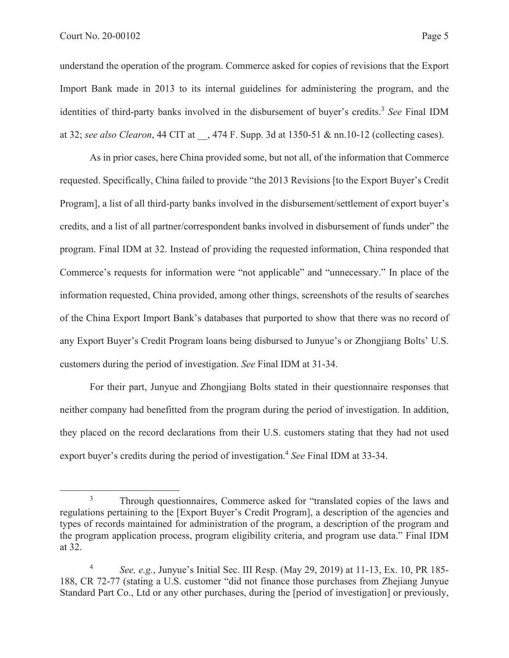understand the operation of the program. Commerce asked for copies of revisions that the Export Import Bank made in 2013 to its internal guidelines for administering the program, and the identities of third-party banks involved in the disbursement of buyer's credits.<sup>3</sup> See Final IDM at 32; *see also Clearon*, 44 CIT at \_\_, 474 F. Supp. 3d at 1350-51 & nn.10-12 (collecting cases).

As in prior cases, here China provided some, but not all, of the information that Commerce requested. Specifically, China failed to provide "the 2013 Revisions [to the Export Buyer's Credit Program], a list of all third-party banks involved in the disbursement/settlement of export buyer's credits, and a list of all partner/correspondent banks involved in disbursement of funds under" the program. Final IDM at 32. Instead of providing the requested information, China responded that Commerce's requests for information were "not applicable" and "unnecessary." In place of the information requested, China provided, among other things, screenshots of the results of searches of the China Export Import Bank's databases that purported to show that there was no record of any Export Buyer's Credit Program loans being disbursed to Junyue's or Zhongjiang Bolts' U.S. customers during the period of investigation. *See* Final IDM at 31-34.

 For their part, Junyue and Zhongjiang Bolts stated in their questionnaire responses that neither company had benefitted from the program during the period of investigation. In addition, they placed on the record declarations from their U.S. customers stating that they had not used export buyer's credits during the period of investigation.<sup>4</sup> *See* Final IDM at 33-34.

<sup>3</sup> Through questionnaires, Commerce asked for "translated copies of the laws and regulations pertaining to the [Export Buyer's Credit Program], a description of the agencies and types of records maintained for administration of the program, a description of the program and the program application process, program eligibility criteria, and program use data." Final IDM at 32.

<sup>4</sup> *See, e.g.*, Junyue's Initial Sec. III Resp. (May 29, 2019) at 11-13, Ex. 10, PR 185- 188, CR 72-77 (stating a U.S. customer "did not finance those purchases from Zhejiang Junyue Standard Part Co., Ltd or any other purchases, during the [period of investigation] or previously,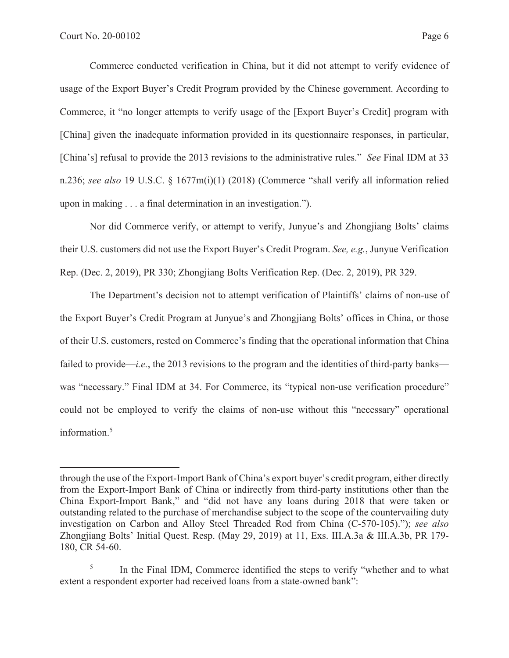Commerce conducted verification in China, but it did not attempt to verify evidence of usage of the Export Buyer's Credit Program provided by the Chinese government. According to Commerce, it "no longer attempts to verify usage of the [Export Buyer's Credit] program with [China] given the inadequate information provided in its questionnaire responses, in particular, [China's] refusal to provide the 2013 revisions to the administrative rules." *See* Final IDM at 33 n.236; *see also* 19 U.S.C. § 1677m(i)(1) (2018) (Commerce "shall verify all information relied upon in making . . . a final determination in an investigation.").

Nor did Commerce verify, or attempt to verify, Junyue's and Zhongjiang Bolts' claims their U.S. customers did not use the Export Buyer's Credit Program. *See, e.g.*, Junyue Verification Rep. (Dec. 2, 2019), PR 330; Zhongjiang Bolts Verification Rep. (Dec. 2, 2019), PR 329.

The Department's decision not to attempt verification of Plaintiffs' claims of non-use of the Export Buyer's Credit Program at Junyue's and Zhongjiang Bolts' offices in China, or those of their U.S. customers, rested on Commerce's finding that the operational information that China failed to provide—*i.e.*, the 2013 revisions to the program and the identities of third-party banks was "necessary." Final IDM at 34. For Commerce, its "typical non-use verification procedure" could not be employed to verify the claims of non-use without this "necessary" operational information.<sup>5</sup>

through the use of the Export-Import Bank of China's export buyer's credit program, either directly from the Export-Import Bank of China or indirectly from third-party institutions other than the China Export-Import Bank," and "did not have any loans during 2018 that were taken or outstanding related to the purchase of merchandise subject to the scope of the countervailing duty investigation on Carbon and Alloy Steel Threaded Rod from China (C-570-105)."); *see also* Zhongjiang Bolts' Initial Quest. Resp. (May 29, 2019) at 11, Exs. III.A.3a & III.A.3b, PR 179- 180, CR 54-60.

<sup>5</sup> In the Final IDM, Commerce identified the steps to verify "whether and to what extent a respondent exporter had received loans from a state-owned bank":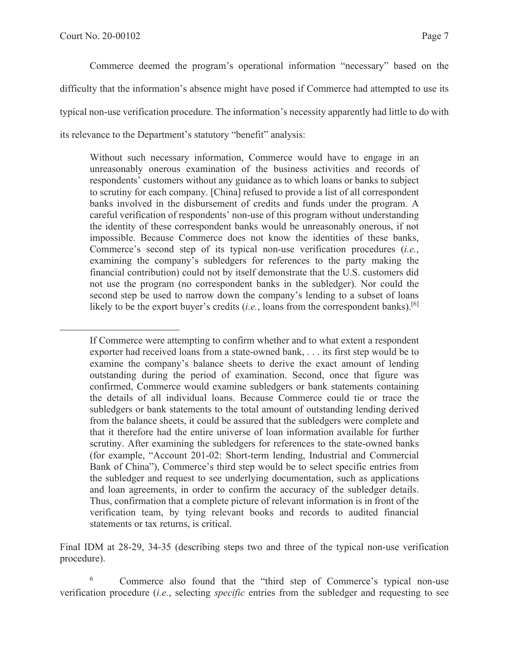Commerce deemed the program's operational information "necessary" based on the difficulty that the information's absence might have posed if Commerce had attempted to use its typical non-use verification procedure. The information's necessity apparently had little to do with its relevance to the Department's statutory "benefit" analysis:

Without such necessary information, Commerce would have to engage in an unreasonably onerous examination of the business activities and records of respondents' customers without any guidance as to which loans or banks to subject to scrutiny for each company. [China] refused to provide a list of all correspondent banks involved in the disbursement of credits and funds under the program. A careful verification of respondents' non-use of this program without understanding the identity of these correspondent banks would be unreasonably onerous, if not impossible. Because Commerce does not know the identities of these banks, Commerce's second step of its typical non-use verification procedures (*i.e.*, examining the company's subledgers for references to the party making the financial contribution) could not by itself demonstrate that the U.S. customers did not use the program (no correspondent banks in the subledger). Nor could the second step be used to narrow down the company's lending to a subset of loans likely to be the export buyer's credits  $(i.e.,$  loans from the correspondent banks).<sup>[6]</sup>

If Commerce were attempting to confirm whether and to what extent a respondent exporter had received loans from a state-owned bank, . . . its first step would be to examine the company's balance sheets to derive the exact amount of lending outstanding during the period of examination. Second, once that figure was confirmed, Commerce would examine subledgers or bank statements containing the details of all individual loans. Because Commerce could tie or trace the subledgers or bank statements to the total amount of outstanding lending derived from the balance sheets, it could be assured that the subledgers were complete and that it therefore had the entire universe of loan information available for further scrutiny. After examining the subledgers for references to the state-owned banks (for example, "Account 201-02: Short-term lending, Industrial and Commercial Bank of China"), Commerce's third step would be to select specific entries from the subledger and request to see underlying documentation, such as applications and loan agreements, in order to confirm the accuracy of the subledger details. Thus, confirmation that a complete picture of relevant information is in front of the verification team, by tying relevant books and records to audited financial statements or tax returns, is critical.

Final IDM at 28-29, 34-35 (describing steps two and three of the typical non-use verification procedure).

6 Commerce also found that the "third step of Commerce's typical non-use verification procedure (*i.e.*, selecting *specific* entries from the subledger and requesting to see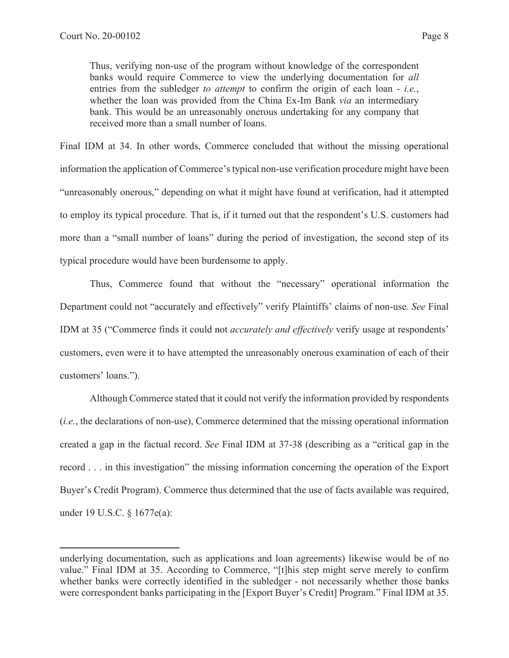Thus, verifying non-use of the program without knowledge of the correspondent banks would require Commerce to view the underlying documentation for *all*  entries from the subledger *to attempt* to confirm the origin of each loan - *i.e.*, whether the loan was provided from the China Ex-Im Bank *via* an intermediary bank. This would be an unreasonably onerous undertaking for any company that received more than a small number of loans.

Final IDM at 34. In other words, Commerce concluded that without the missing operational information the application of Commerce's typical non-use verification procedure might have been "unreasonably onerous," depending on what it might have found at verification, had it attempted to employ its typical procedure. That is, if it turned out that the respondent's U.S. customers had more than a "small number of loans" during the period of investigation, the second step of its typical procedure would have been burdensome to apply.

Thus, Commerce found that without the "necessary" operational information the Department could not "accurately and effectively" verify Plaintiffs' claims of non-use. *See* Final IDM at 35 ("Commerce finds it could not *accurately and effectively* verify usage at respondents' customers, even were it to have attempted the unreasonably onerous examination of each of their customers' loans.").

Although Commerce stated that it could not verify the information provided by respondents (*i.e.*, the declarations of non-use), Commerce determined that the missing operational information created a gap in the factual record. *See* Final IDM at 37-38 (describing as a "critical gap in the record . . . in this investigation" the missing information concerning the operation of the Export Buyer's Credit Program). Commerce thus determined that the use of facts available was required, under 19 U.S.C. § 1677e(a):

underlying documentation, such as applications and loan agreements) likewise would be of no value." Final IDM at 35. According to Commerce, "[t]his step might serve merely to confirm whether banks were correctly identified in the subledger - not necessarily whether those banks were correspondent banks participating in the [Export Buyer's Credit] Program." Final IDM at 35.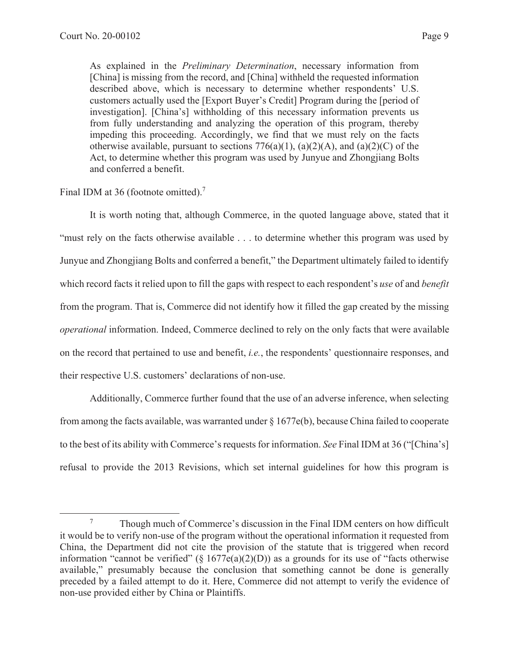As explained in the *Preliminary Determination*, necessary information from [China] is missing from the record, and [China] withheld the requested information described above, which is necessary to determine whether respondents' U.S. customers actually used the [Export Buyer's Credit] Program during the [period of investigation]. [China's] withholding of this necessary information prevents us from fully understanding and analyzing the operation of this program, thereby impeding this proceeding. Accordingly, we find that we must rely on the facts otherwise available, pursuant to sections  $776(a)(1)$ ,  $(a)(2)(A)$ , and  $(a)(2)(C)$  of the Act, to determine whether this program was used by Junyue and Zhongjiang Bolts and conferred a benefit.

# Final IDM at 36 (footnote omitted).<sup>7</sup>

It is worth noting that, although Commerce, in the quoted language above, stated that it "must rely on the facts otherwise available . . . to determine whether this program was used by Junyue and Zhongjiang Bolts and conferred a benefit," the Department ultimately failed to identify which record facts it relied upon to fill the gaps with respect to each respondent's *use* of and *benefit* from the program. That is, Commerce did not identify how it filled the gap created by the missing *operational* information. Indeed, Commerce declined to rely on the only facts that were available on the record that pertained to use and benefit, *i.e.*, the respondents' questionnaire responses, and their respective U.S. customers' declarations of non-use.

 Additionally, Commerce further found that the use of an adverse inference, when selecting from among the facts available, was warranted under  $\S 1677e(b)$ , because China failed to cooperate to the best of its ability with Commerce's requests for information. *See* Final IDM at 36 ("[China's] refusal to provide the 2013 Revisions, which set internal guidelines for how this program is

<sup>7</sup> Though much of Commerce's discussion in the Final IDM centers on how difficult it would be to verify non-use of the program without the operational information it requested from China, the Department did not cite the provision of the statute that is triggered when record information "cannot be verified" ( $\S 1677e(a)(2)(D)$ ) as a grounds for its use of "facts otherwise available," presumably because the conclusion that something cannot be done is generally preceded by a failed attempt to do it. Here, Commerce did not attempt to verify the evidence of non-use provided either by China or Plaintiffs.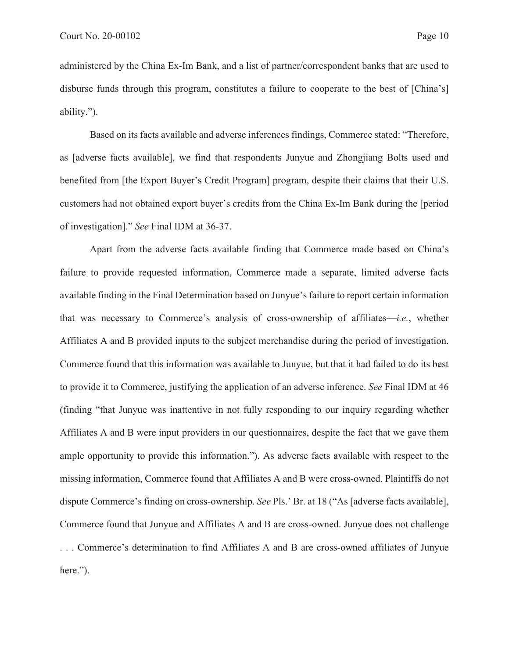administered by the China Ex-Im Bank, and a list of partner/correspondent banks that are used to disburse funds through this program, constitutes a failure to cooperate to the best of [China's] ability.").

 Based on its facts available and adverse inferences findings, Commerce stated: "Therefore, as [adverse facts available], we find that respondents Junyue and Zhongjiang Bolts used and benefited from [the Export Buyer's Credit Program] program, despite their claims that their U.S. customers had not obtained export buyer's credits from the China Ex-Im Bank during the [period of investigation]." *See* Final IDM at 36-37.

Apart from the adverse facts available finding that Commerce made based on China's failure to provide requested information, Commerce made a separate, limited adverse facts available finding in the Final Determination based on Junyue's failure to report certain information that was necessary to Commerce's analysis of cross-ownership of affiliates—*i.e.*, whether Affiliates A and B provided inputs to the subject merchandise during the period of investigation. Commerce found that this information was available to Junyue, but that it had failed to do its best to provide it to Commerce, justifying the application of an adverse inference. *See* Final IDM at 46 (finding "that Junyue was inattentive in not fully responding to our inquiry regarding whether Affiliates A and B were input providers in our questionnaires, despite the fact that we gave them ample opportunity to provide this information."). As adverse facts available with respect to the missing information, Commerce found that Affiliates A and B were cross-owned. Plaintiffs do not dispute Commerce's finding on cross-ownership. *See* Pls.' Br. at 18 ("As [adverse facts available], Commerce found that Junyue and Affiliates A and B are cross-owned. Junyue does not challenge

. . . Commerce's determination to find Affiliates A and B are cross-owned affiliates of Junyue here.").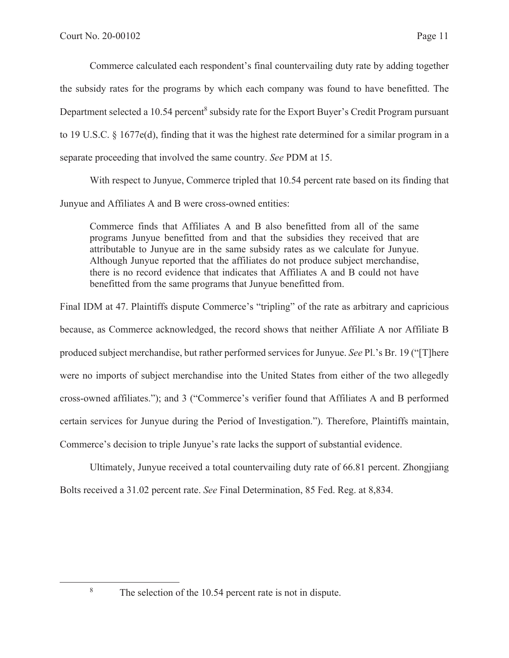Commerce calculated each respondent's final countervailing duty rate by adding together the subsidy rates for the programs by which each company was found to have benefitted. The Department selected a 10.54 percent<sup>8</sup> subsidy rate for the Export Buyer's Credit Program pursuant to 19 U.S.C. § 1677e(d), finding that it was the highest rate determined for a similar program in a separate proceeding that involved the same country. *See* PDM at 15.

With respect to Junyue, Commerce tripled that 10.54 percent rate based on its finding that Junyue and Affiliates A and B were cross-owned entities:

Commerce finds that Affiliates A and B also benefitted from all of the same programs Junyue benefitted from and that the subsidies they received that are attributable to Junyue are in the same subsidy rates as we calculate for Junyue. Although Junyue reported that the affiliates do not produce subject merchandise, there is no record evidence that indicates that Affiliates A and B could not have benefitted from the same programs that Junyue benefitted from.

Final IDM at 47. Plaintiffs dispute Commerce's "tripling" of the rate as arbitrary and capricious because, as Commerce acknowledged, the record shows that neither Affiliate A nor Affiliate B produced subject merchandise, but rather performed services for Junyue. *See* Pl.'s Br. 19 ("[T]here were no imports of subject merchandise into the United States from either of the two allegedly cross-owned affiliates."); and 3 ("Commerce's verifier found that Affiliates A and B performed certain services for Junyue during the Period of Investigation."). Therefore, Plaintiffs maintain, Commerce's decision to triple Junyue's rate lacks the support of substantial evidence.

Ultimately, Junyue received a total countervailing duty rate of 66.81 percent. Zhongjiang Bolts received a 31.02 percent rate. *See* Final Determination, 85 Fed. Reg. at 8,834.

8

The selection of the 10.54 percent rate is not in dispute.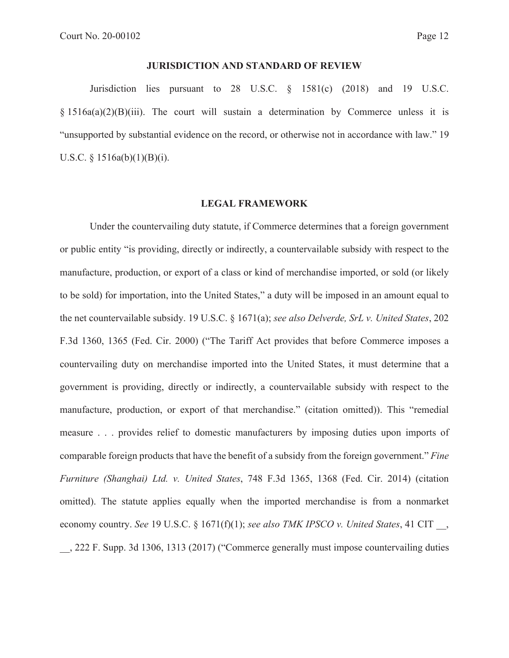## **JURISDICTION AND STANDARD OF REVIEW**

Jurisdiction lies pursuant to 28 U.S.C. § 1581(c) (2018) and 19 U.S.C.  $§ 1516a(a)(2)(B)(iii)$ . The court will sustain a determination by Commerce unless it is "unsupported by substantial evidence on the record, or otherwise not in accordance with law." 19 U.S.C.  $\S$  1516a(b)(1)(B)(i).

#### **LEGAL FRAMEWORK**

Under the countervailing duty statute, if Commerce determines that a foreign government or public entity "is providing, directly or indirectly, a countervailable subsidy with respect to the manufacture, production, or export of a class or kind of merchandise imported, or sold (or likely to be sold) for importation, into the United States," a duty will be imposed in an amount equal to the net countervailable subsidy. 19 U.S.C. § 1671(a); *see also Delverde, SrL v. United States*, 202 F.3d 1360, 1365 (Fed. Cir. 2000) ("The Tariff Act provides that before Commerce imposes a countervailing duty on merchandise imported into the United States, it must determine that a government is providing, directly or indirectly, a countervailable subsidy with respect to the manufacture, production, or export of that merchandise." (citation omitted)). This "remedial measure . . . provides relief to domestic manufacturers by imposing duties upon imports of comparable foreign products that have the benefit of a subsidy from the foreign government." *Fine Furniture (Shanghai) Ltd. v. United States*, 748 F.3d 1365, 1368 (Fed. Cir. 2014) (citation omitted). The statute applies equally when the imported merchandise is from a nonmarket economy country. *See* 19 U.S.C. § 1671(f)(1); *see also TMK IPSCO v. United States*, 41 CIT \_\_, \_\_, 222 F. Supp. 3d 1306, 1313 (2017) ("Commerce generally must impose countervailing duties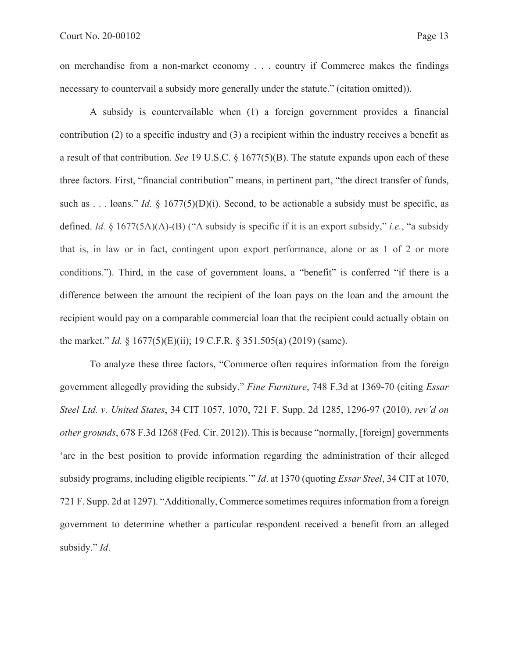on merchandise from a non-market economy . . . country if Commerce makes the findings necessary to countervail a subsidy more generally under the statute." (citation omitted)).

A subsidy is countervailable when (1) a foreign government provides a financial contribution (2) to a specific industry and (3) a recipient within the industry receives a benefit as a result of that contribution. *See* 19 U.S.C. § 1677(5)(B). The statute expands upon each of these three factors. First, "financial contribution" means, in pertinent part, "the direct transfer of funds, such as . . . loans." *Id.*  $\frac{8}{1677(5)}(D)(i)$ . Second, to be actionable a subsidy must be specific, as defined. *Id.* § 1677(5A)(A)-(B) ("A subsidy is specific if it is an export subsidy," *i.e.*, "a subsidy that is, in law or in fact, contingent upon export performance, alone or as 1 of 2 or more conditions."). Third, in the case of government loans, a "benefit" is conferred "if there is a difference between the amount the recipient of the loan pays on the loan and the amount the recipient would pay on a comparable commercial loan that the recipient could actually obtain on the market." *Id.* § 1677(5)(E)(ii); 19 C.F.R. § 351.505(a) (2019) (same).

To analyze these three factors, "Commerce often requires information from the foreign government allegedly providing the subsidy." *Fine Furniture*, 748 F.3d at 1369-70 (citing *Essar Steel Ltd. v. United States*, 34 CIT 1057, 1070, 721 F. Supp. 2d 1285, 1296-97 (2010), *rev'd on other grounds*, 678 F.3d 1268 (Fed. Cir. 2012)). This is because "normally, [foreign] governments 'are in the best position to provide information regarding the administration of their alleged subsidy programs, including eligible recipients.'" *Id*. at 1370 (quoting *Essar Steel*, 34 CIT at 1070, 721 F. Supp. 2d at 1297). "Additionally, Commerce sometimes requires information from a foreign government to determine whether a particular respondent received a benefit from an alleged subsidy." *Id*.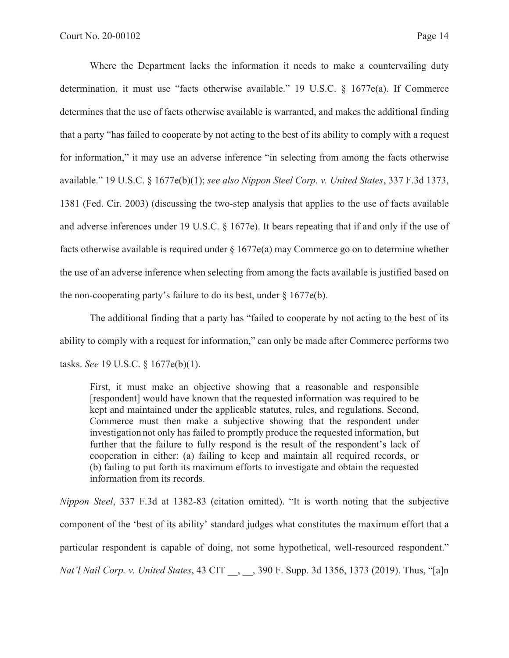Where the Department lacks the information it needs to make a countervailing duty determination, it must use "facts otherwise available." 19 U.S.C. § 1677e(a). If Commerce determines that the use of facts otherwise available is warranted, and makes the additional finding that a party "has failed to cooperate by not acting to the best of its ability to comply with a request for information," it may use an adverse inference "in selecting from among the facts otherwise available." 19 U.S.C. § 1677e(b)(1); *see also Nippon Steel Corp. v. United States*, 337 F.3d 1373, 1381 (Fed. Cir. 2003) (discussing the two-step analysis that applies to the use of facts available and adverse inferences under 19 U.S.C. § 1677e). It bears repeating that if and only if the use of facts otherwise available is required under  $\S 1677e(a)$  may Commerce go on to determine whether the use of an adverse inference when selecting from among the facts available is justified based on the non-cooperating party's failure to do its best, under  $\S 1677e(b)$ .

The additional finding that a party has "failed to cooperate by not acting to the best of its ability to comply with a request for information," can only be made after Commerce performs two tasks. *See* 19 U.S.C. § 1677e(b)(1).

First, it must make an objective showing that a reasonable and responsible [respondent] would have known that the requested information was required to be kept and maintained under the applicable statutes, rules, and regulations. Second, Commerce must then make a subjective showing that the respondent under investigation not only has failed to promptly produce the requested information, but further that the failure to fully respond is the result of the respondent's lack of cooperation in either: (a) failing to keep and maintain all required records, or (b) failing to put forth its maximum efforts to investigate and obtain the requested information from its records.

*Nippon Steel*, 337 F.3d at 1382-83 (citation omitted). "It is worth noting that the subjective component of the 'best of its ability' standard judges what constitutes the maximum effort that a particular respondent is capable of doing, not some hypothetical, well-resourced respondent." *Nat'l Nail Corp. v. United States*, 43 CIT \_\_, \_\_, 390 F. Supp. 3d 1356, 1373 (2019). Thus, "[a]n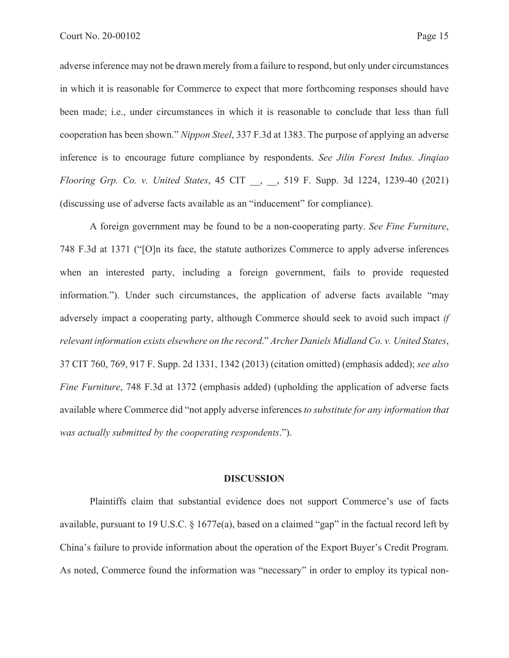adverse inference may not be drawn merely from a failure to respond, but only under circumstances in which it is reasonable for Commerce to expect that more forthcoming responses should have been made; i.e., under circumstances in which it is reasonable to conclude that less than full cooperation has been shown." *Nippon Steel*, 337 F.3d at 1383. The purpose of applying an adverse inference is to encourage future compliance by respondents. *See Jilin Forest Indus. Jinqiao Flooring Grp. Co. v. United States*, 45 CIT \_\_, \_\_, 519 F. Supp. 3d 1224, 1239-40 (2021) (discussing use of adverse facts available as an "inducement" for compliance).

A foreign government may be found to be a non-cooperating party. *See Fine Furniture*, 748 F.3d at 1371 ("[O]n its face, the statute authorizes Commerce to apply adverse inferences when an interested party, including a foreign government, fails to provide requested information."). Under such circumstances, the application of adverse facts available "may adversely impact a cooperating party, although Commerce should seek to avoid such impact *if relevant information exists elsewhere on the record*." *Archer Daniels Midland Co. v. United States*, 37 CIT 760, 769, 917 F. Supp. 2d 1331, 1342 (2013) (citation omitted) (emphasis added); *see also Fine Furniture*, 748 F.3d at 1372 (emphasis added) (upholding the application of adverse facts available where Commerce did "not apply adverse inferences *to substitute for any information that was actually submitted by the cooperating respondents*.").

#### **DISCUSSION**

Plaintiffs claim that substantial evidence does not support Commerce's use of facts available, pursuant to 19 U.S.C. § 1677e(a), based on a claimed "gap" in the factual record left by China's failure to provide information about the operation of the Export Buyer's Credit Program. As noted, Commerce found the information was "necessary" in order to employ its typical non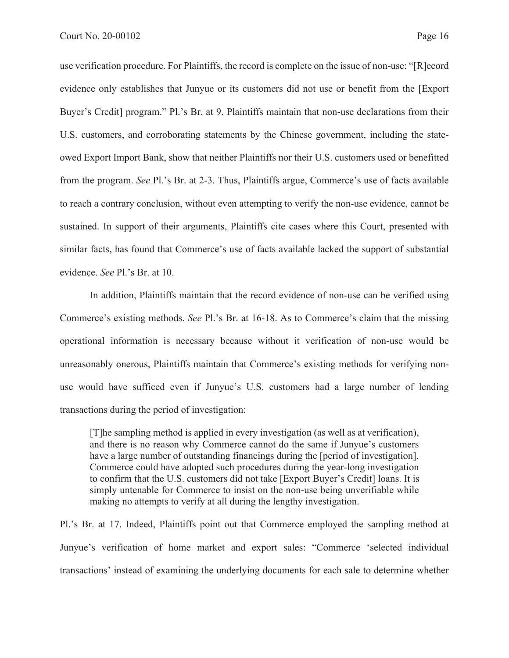use verification procedure. For Plaintiffs, the record is complete on the issue of non-use: "[R]ecord evidence only establishes that Junyue or its customers did not use or benefit from the [Export Buyer's Credit] program." Pl.'s Br. at 9. Plaintiffs maintain that non-use declarations from their U.S. customers, and corroborating statements by the Chinese government, including the stateowed Export Import Bank, show that neither Plaintiffs nor their U.S. customers used or benefitted from the program. *See* Pl.'s Br. at 2-3. Thus, Plaintiffs argue, Commerce's use of facts available to reach a contrary conclusion, without even attempting to verify the non-use evidence, cannot be sustained. In support of their arguments, Plaintiffs cite cases where this Court, presented with similar facts, has found that Commerce's use of facts available lacked the support of substantial evidence. *See* Pl.'s Br. at 10.

In addition, Plaintiffs maintain that the record evidence of non-use can be verified using Commerce's existing methods. *See* Pl.'s Br. at 16-18. As to Commerce's claim that the missing operational information is necessary because without it verification of non-use would be unreasonably onerous, Plaintiffs maintain that Commerce's existing methods for verifying nonuse would have sufficed even if Junyue's U.S. customers had a large number of lending transactions during the period of investigation:

[T]he sampling method is applied in every investigation (as well as at verification), and there is no reason why Commerce cannot do the same if Junyue's customers have a large number of outstanding financings during the [period of investigation]. Commerce could have adopted such procedures during the year-long investigation to confirm that the U.S. customers did not take [Export Buyer's Credit] loans. It is simply untenable for Commerce to insist on the non-use being unverifiable while making no attempts to verify at all during the lengthy investigation.

Pl.'s Br. at 17. Indeed, Plaintiffs point out that Commerce employed the sampling method at Junyue's verification of home market and export sales: "Commerce 'selected individual transactions' instead of examining the underlying documents for each sale to determine whether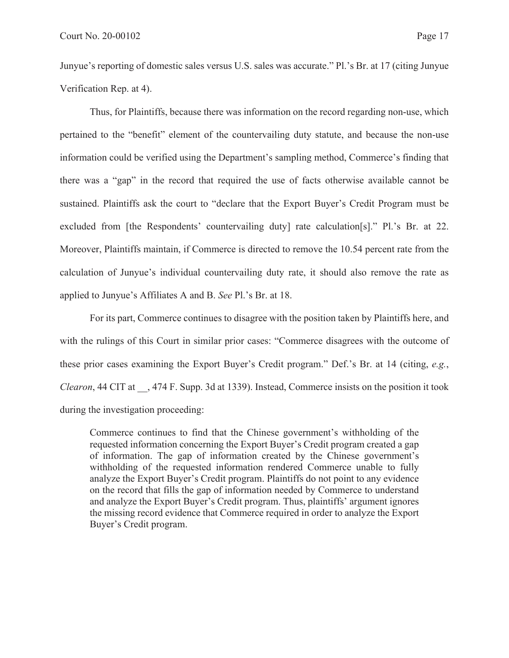Junyue's reporting of domestic sales versus U.S. sales was accurate." Pl.'s Br. at 17 (citing Junyue Verification Rep. at 4).

Thus, for Plaintiffs, because there was information on the record regarding non-use, which pertained to the "benefit" element of the countervailing duty statute, and because the non-use information could be verified using the Department's sampling method, Commerce's finding that there was a "gap" in the record that required the use of facts otherwise available cannot be sustained. Plaintiffs ask the court to "declare that the Export Buyer's Credit Program must be excluded from [the Respondents' countervailing duty] rate calculation[s]." Pl.'s Br. at 22. Moreover, Plaintiffs maintain, if Commerce is directed to remove the 10.54 percent rate from the calculation of Junyue's individual countervailing duty rate, it should also remove the rate as applied to Junyue's Affiliates A and B. *See* Pl.'s Br. at 18.

 For its part, Commerce continues to disagree with the position taken by Plaintiffs here, and with the rulings of this Court in similar prior cases: "Commerce disagrees with the outcome of these prior cases examining the Export Buyer's Credit program." Def.'s Br. at 14 (citing, *e.g.*, *Clearon*, 44 CIT at  $\,$ , 474 F. Supp. 3d at 1339). Instead, Commerce insists on the position it took during the investigation proceeding:

Commerce continues to find that the Chinese government's withholding of the requested information concerning the Export Buyer's Credit program created a gap of information. The gap of information created by the Chinese government's withholding of the requested information rendered Commerce unable to fully analyze the Export Buyer's Credit program. Plaintiffs do not point to any evidence on the record that fills the gap of information needed by Commerce to understand and analyze the Export Buyer's Credit program. Thus, plaintiffs' argument ignores the missing record evidence that Commerce required in order to analyze the Export Buyer's Credit program.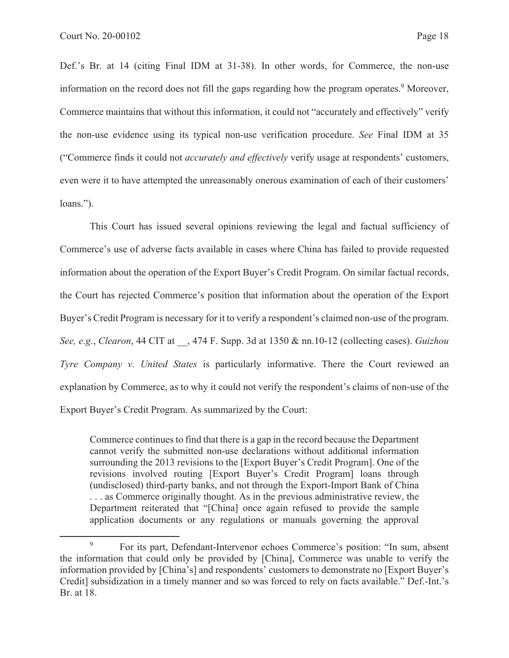Def.'s Br. at 14 (citing Final IDM at 31-38). In other words, for Commerce, the non-use information on the record does not fill the gaps regarding how the program operates.<sup>9</sup> Moreover, Commerce maintains that without this information, it could not "accurately and effectively" verify the non-use evidence using its typical non-use verification procedure. *See* Final IDM at 35 ("Commerce finds it could not *accurately and effectively* verify usage at respondents' customers, even were it to have attempted the unreasonably onerous examination of each of their customers' loans.").

This Court has issued several opinions reviewing the legal and factual sufficiency of Commerce's use of adverse facts available in cases where China has failed to provide requested information about the operation of the Export Buyer's Credit Program. On similar factual records, the Court has rejected Commerce's position that information about the operation of the Export Buyer's Credit Program is necessary for it to verify a respondent's claimed non-use of the program. *See, e.g.*, *Clearon*, 44 CIT at \_\_, 474 F. Supp. 3d at 1350 & nn.10-12 (collecting cases). *Guizhou Tyre Company v. United States* is particularly informative. There the Court reviewed an explanation by Commerce, as to why it could not verify the respondent's claims of non-use of the Export Buyer's Credit Program. As summarized by the Court:

Commerce continues to find that there is a gap in the record because the Department cannot verify the submitted non-use declarations without additional information surrounding the 2013 revisions to the [Export Buyer's Credit Program]. One of the revisions involved routing [Export Buyer's Credit Program] loans through (undisclosed) third-party banks, and not through the Export-Import Bank of China . . . as Commerce originally thought. As in the previous administrative review, the Department reiterated that "[China] once again refused to provide the sample application documents or any regulations or manuals governing the approval

<sup>9</sup> For its part, Defendant-Intervenor echoes Commerce's position: "In sum, absent the information that could only be provided by [China], Commerce was unable to verify the information provided by [China's] and respondents' customers to demonstrate no [Export Buyer's Credit] subsidization in a timely manner and so was forced to rely on facts available." Def.-Int.'s Br. at 18.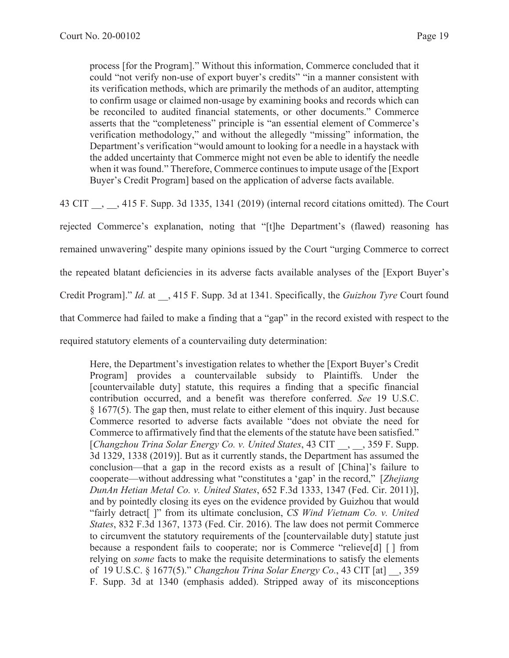process [for the Program]." Without this information, Commerce concluded that it could "not verify non-use of export buyer's credits" "in a manner consistent with its verification methods, which are primarily the methods of an auditor, attempting to confirm usage or claimed non-usage by examining books and records which can be reconciled to audited financial statements, or other documents." Commerce asserts that the "completeness" principle is "an essential element of Commerce's verification methodology," and without the allegedly "missing" information, the Department's verification "would amount to looking for a needle in a haystack with the added uncertainty that Commerce might not even be able to identify the needle when it was found." Therefore, Commerce continues to impute usage of the [Export Buyer's Credit Program] based on the application of adverse facts available.

43 CIT \_\_, \_\_, 415 F. Supp. 3d 1335, 1341 (2019) (internal record citations omitted). The Court

rejected Commerce's explanation, noting that "[t]he Department's (flawed) reasoning has remained unwavering" despite many opinions issued by the Court "urging Commerce to correct the repeated blatant deficiencies in its adverse facts available analyses of the [Export Buyer's Credit Program]." *Id.* at \_\_, 415 F. Supp. 3d at 1341. Specifically, the *Guizhou Tyre* Court found that Commerce had failed to make a finding that a "gap" in the record existed with respect to the required statutory elements of a countervailing duty determination:

Here, the Department's investigation relates to whether the [Export Buyer's Credit Program] provides a countervailable subsidy to Plaintiffs. Under the [countervailable duty] statute, this requires a finding that a specific financial contribution occurred, and a benefit was therefore conferred. *See* 19 U.S.C. § 1677(5). The gap then, must relate to either element of this inquiry. Just because Commerce resorted to adverse facts available "does not obviate the need for Commerce to affirmatively find that the elements of the statute have been satisfied." [*Changzhou Trina Solar Energy Co. v. United States*, 43 CIT \_\_, \_\_, 359 F. Supp. 3d 1329, 1338 (2019)]. But as it currently stands, the Department has assumed the conclusion—that a gap in the record exists as a result of [China]'s failure to cooperate—without addressing what "constitutes a 'gap' in the record," [*Zhejiang DunAn Hetian Metal Co. v. United States*, 652 F.3d 1333, 1347 (Fed. Cir. 2011)], and by pointedly closing its eyes on the evidence provided by Guizhou that would "fairly detract[ ]" from its ultimate conclusion, *CS Wind Vietnam Co. v. United States*, 832 F.3d 1367, 1373 (Fed. Cir. 2016). The law does not permit Commerce to circumvent the statutory requirements of the [countervailable duty] statute just because a respondent fails to cooperate; nor is Commerce "relieve[d] [ ] from relying on *some* facts to make the requisite determinations to satisfy the elements of 19 U.S.C. § 1677(5)." *Changzhou Trina Solar Energy Co.*, 43 CIT [at] \_\_, 359 F. Supp. 3d at 1340 (emphasis added). Stripped away of its misconceptions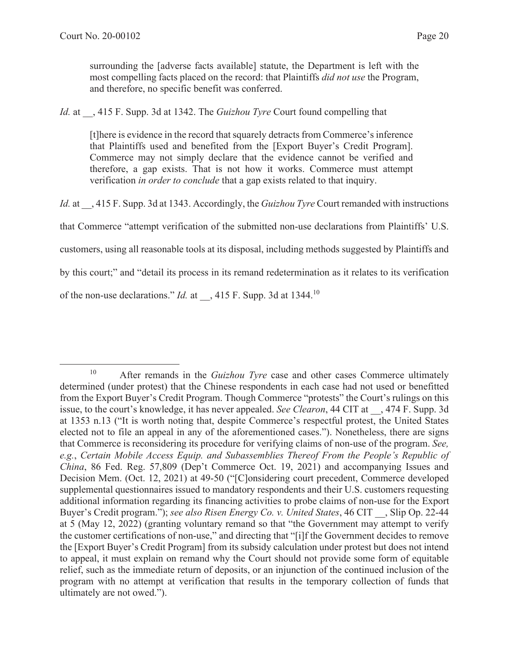surrounding the [adverse facts available] statute, the Department is left with the most compelling facts placed on the record: that Plaintiffs *did not use* the Program, and therefore, no specific benefit was conferred.

*Id.* at \_\_, 415 F. Supp. 3d at 1342. The *Guizhou Tyre* Court found compelling that

[t]here is evidence in the record that squarely detracts from Commerce's inference that Plaintiffs used and benefited from the [Export Buyer's Credit Program]. Commerce may not simply declare that the evidence cannot be verified and therefore, a gap exists. That is not how it works. Commerce must attempt verification *in order to conclude* that a gap exists related to that inquiry.

*Id.* at , 415 F. Supp. 3d at 1343. Accordingly, the *Guizhou Tyre* Court remanded with instructions

that Commerce "attempt verification of the submitted non-use declarations from Plaintiffs' U.S.

customers, using all reasonable tools at its disposal, including methods suggested by Plaintiffs and

by this court;" and "detail its process in its remand redetermination as it relates to its verification

of the non-use declarations." *Id.* at  $\phantom{0}$ , 415 F. Supp. 3d at 1344.<sup>10</sup>

<sup>10</sup> After remands in the *Guizhou Tyre* case and other cases Commerce ultimately determined (under protest) that the Chinese respondents in each case had not used or benefitted from the Export Buyer's Credit Program. Though Commerce "protests" the Court's rulings on this issue, to the court's knowledge, it has never appealed. *See Clearon*, 44 CIT at \_\_, 474 F. Supp. 3d at 1353 n.13 ("It is worth noting that, despite Commerce's respectful protest, the United States elected not to file an appeal in any of the aforementioned cases."). Nonetheless, there are signs that Commerce is reconsidering its procedure for verifying claims of non-use of the program. *See, e.g.*, *Certain Mobile Access Equip. and Subassemblies Thereof From the People's Republic of China*, 86 Fed. Reg. 57,809 (Dep't Commerce Oct. 19, 2021) and accompanying Issues and Decision Mem. (Oct. 12, 2021) at 49-50 ("[C]onsidering court precedent, Commerce developed supplemental questionnaires issued to mandatory respondents and their U.S. customers requesting additional information regarding its financing activities to probe claims of non-use for the Export Buyer's Credit program."); *see also Risen Energy Co. v. United States*, 46 CIT \_\_, Slip Op. 22-44 at 5 (May 12, 2022) (granting voluntary remand so that "the Government may attempt to verify the customer certifications of non-use," and directing that "[i]f the Government decides to remove the [Export Buyer's Credit Program] from its subsidy calculation under protest but does not intend to appeal, it must explain on remand why the Court should not provide some form of equitable relief, such as the immediate return of deposits, or an injunction of the continued inclusion of the program with no attempt at verification that results in the temporary collection of funds that ultimately are not owed.").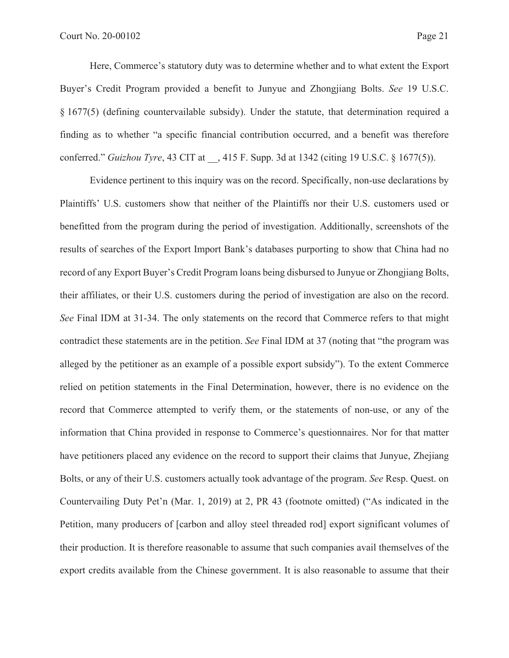Here, Commerce's statutory duty was to determine whether and to what extent the Export Buyer's Credit Program provided a benefit to Junyue and Zhongjiang Bolts. *See* 19 U.S.C. § 1677(5) (defining countervailable subsidy). Under the statute, that determination required a finding as to whether "a specific financial contribution occurred, and a benefit was therefore conferred." *Guizhou Tyre*, 43 CIT at \_\_, 415 F. Supp. 3d at 1342 (citing 19 U.S.C. § 1677(5)).

Evidence pertinent to this inquiry was on the record. Specifically, non-use declarations by Plaintiffs' U.S. customers show that neither of the Plaintiffs nor their U.S. customers used or benefitted from the program during the period of investigation. Additionally, screenshots of the results of searches of the Export Import Bank's databases purporting to show that China had no record of any Export Buyer's Credit Program loans being disbursed to Junyue or Zhongjiang Bolts, their affiliates, or their U.S. customers during the period of investigation are also on the record. *See* Final IDM at 31-34. The only statements on the record that Commerce refers to that might contradict these statements are in the petition. *See* Final IDM at 37 (noting that "the program was alleged by the petitioner as an example of a possible export subsidy"). To the extent Commerce relied on petition statements in the Final Determination, however, there is no evidence on the record that Commerce attempted to verify them, or the statements of non-use, or any of the information that China provided in response to Commerce's questionnaires. Nor for that matter have petitioners placed any evidence on the record to support their claims that Junyue, Zhejiang Bolts, or any of their U.S. customers actually took advantage of the program. *See* Resp. Quest. on Countervailing Duty Pet'n (Mar. 1, 2019) at 2, PR 43 (footnote omitted) ("As indicated in the Petition, many producers of [carbon and alloy steel threaded rod] export significant volumes of their production. It is therefore reasonable to assume that such companies avail themselves of the export credits available from the Chinese government. It is also reasonable to assume that their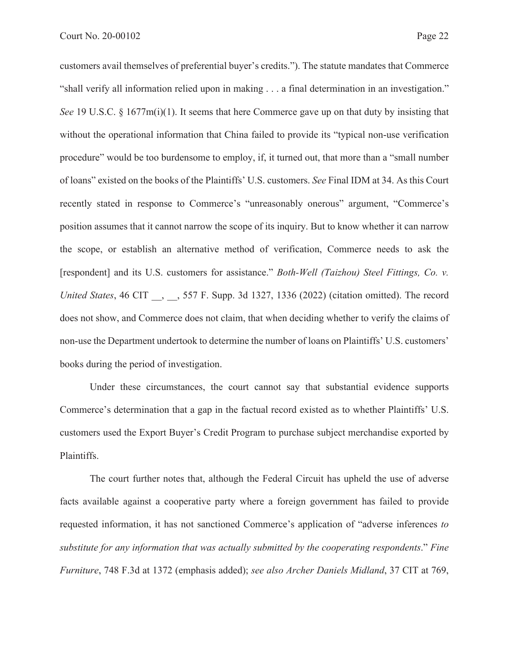customers avail themselves of preferential buyer's credits."). The statute mandates that Commerce "shall verify all information relied upon in making . . . a final determination in an investigation." *See* 19 U.S.C. § 1677m(i)(1). It seems that here Commerce gave up on that duty by insisting that without the operational information that China failed to provide its "typical non-use verification procedure" would be too burdensome to employ, if, it turned out, that more than a "small number of loans" existed on the books of the Plaintiffs' U.S. customers. *See* Final IDM at 34. As this Court recently stated in response to Commerce's "unreasonably onerous" argument, "Commerce's position assumes that it cannot narrow the scope of its inquiry. But to know whether it can narrow the scope, or establish an alternative method of verification, Commerce needs to ask the [respondent] and its U.S. customers for assistance." *Both-Well (Taizhou) Steel Fittings, Co. v. United States*, 46 CIT \_\_, \_\_, 557 F. Supp. 3d 1327, 1336 (2022) (citation omitted). The record does not show, and Commerce does not claim, that when deciding whether to verify the claims of non-use the Department undertook to determine the number of loans on Plaintiffs' U.S. customers' books during the period of investigation.

Under these circumstances, the court cannot say that substantial evidence supports Commerce's determination that a gap in the factual record existed as to whether Plaintiffs' U.S. customers used the Export Buyer's Credit Program to purchase subject merchandise exported by Plaintiffs.

The court further notes that, although the Federal Circuit has upheld the use of adverse facts available against a cooperative party where a foreign government has failed to provide requested information, it has not sanctioned Commerce's application of "adverse inferences *to substitute for any information that was actually submitted by the cooperating respondents*." *Fine Furniture*, 748 F.3d at 1372 (emphasis added); *see also Archer Daniels Midland*, 37 CIT at 769,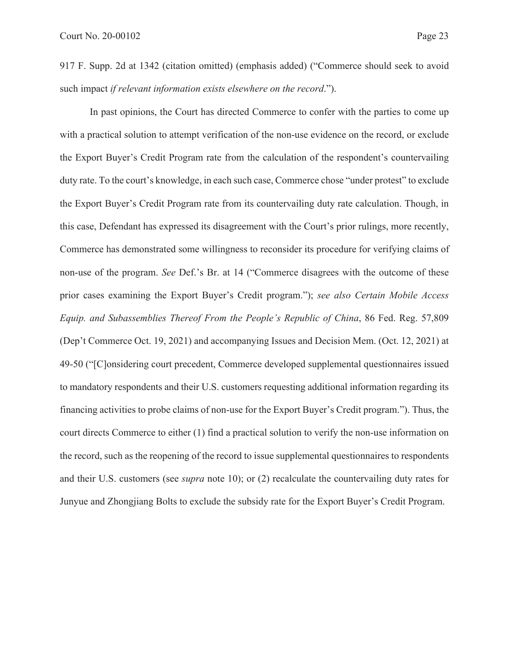917 F. Supp. 2d at 1342 (citation omitted) (emphasis added) ("Commerce should seek to avoid such impact *if relevant information exists elsewhere on the record*.").

In past opinions, the Court has directed Commerce to confer with the parties to come up with a practical solution to attempt verification of the non-use evidence on the record, or exclude the Export Buyer's Credit Program rate from the calculation of the respondent's countervailing duty rate. To the court's knowledge, in each such case, Commerce chose "under protest" to exclude the Export Buyer's Credit Program rate from its countervailing duty rate calculation. Though, in this case, Defendant has expressed its disagreement with the Court's prior rulings, more recently, Commerce has demonstrated some willingness to reconsider its procedure for verifying claims of non-use of the program. *See* Def.'s Br. at 14 ("Commerce disagrees with the outcome of these prior cases examining the Export Buyer's Credit program."); *see also Certain Mobile Access Equip. and Subassemblies Thereof From the People's Republic of China*, 86 Fed. Reg. 57,809 (Dep't Commerce Oct. 19, 2021) and accompanying Issues and Decision Mem. (Oct. 12, 2021) at 49-50 ("[C]onsidering court precedent, Commerce developed supplemental questionnaires issued to mandatory respondents and their U.S. customers requesting additional information regarding its financing activities to probe claims of non-use for the Export Buyer's Credit program."). Thus, the court directs Commerce to either (1) find a practical solution to verify the non-use information on the record, such as the reopening of the record to issue supplemental questionnaires to respondents and their U.S. customers (see *supra* note 10); or (2) recalculate the countervailing duty rates for Junyue and Zhongjiang Bolts to exclude the subsidy rate for the Export Buyer's Credit Program.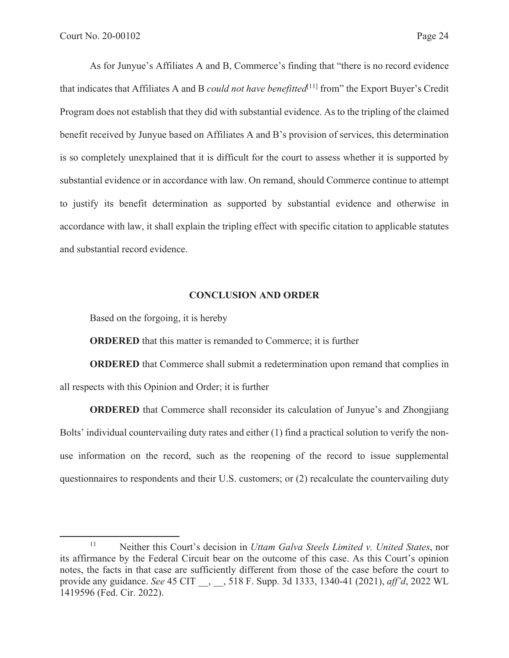As for Junyue's Affiliates A and B, Commerce's finding that "there is no record evidence that indicates that Affiliates A and B *could not have benefitted*<sup>[11]</sup> from" the Export Buyer's Credit Program does not establish that they did with substantial evidence. As to the tripling of the claimed benefit received by Junyue based on Affiliates A and B's provision of services, this determination is so completely unexplained that it is difficult for the court to assess whether it is supported by substantial evidence or in accordance with law. On remand, should Commerce continue to attempt to justify its benefit determination as supported by substantial evidence and otherwise in accordance with law, it shall explain the tripling effect with specific citation to applicable statutes and substantial record evidence.

### **CONCLUSION AND ORDER**

Based on the forgoing, it is hereby

**ORDERED** that this matter is remanded to Commerce; it is further

**ORDERED** that Commerce shall submit a redetermination upon remand that complies in all respects with this Opinion and Order; it is further

**ORDERED** that Commerce shall reconsider its calculation of Junyue's and Zhongjiang Bolts' individual countervailing duty rates and either (1) find a practical solution to verify the nonuse information on the record, such as the reopening of the record to issue supplemental questionnaires to respondents and their U.S. customers; or (2) recalculate the countervailing duty

<sup>11</sup> Neither this Court's decision in *Uttam Galva Steels Limited v. United States*, nor its affirmance by the Federal Circuit bear on the outcome of this case. As this Court's opinion notes, the facts in that case are sufficiently different from those of the case before the court to provide any guidance. *See* 45 CIT \_\_, \_\_, 518 F. Supp. 3d 1333, 1340-41 (2021), *aff'd*, 2022 WL 1419596 (Fed. Cir. 2022).